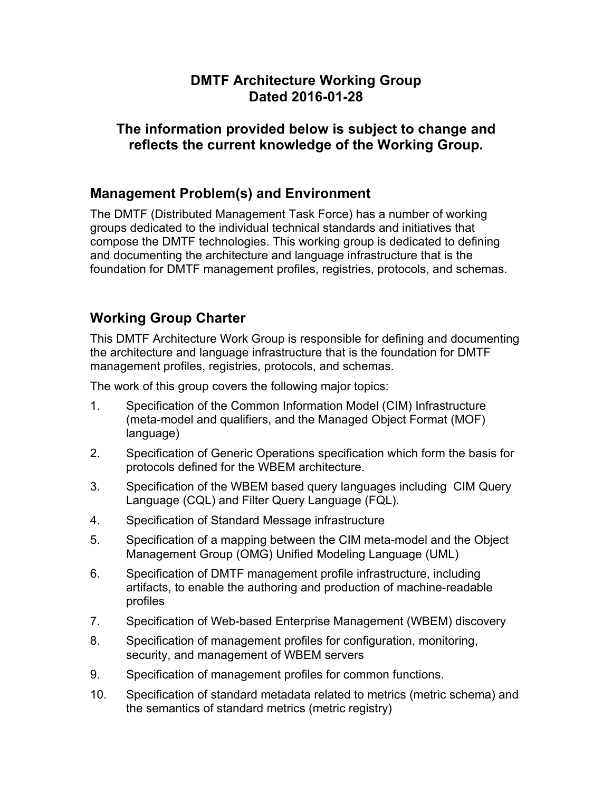#### **DMTF Architecture Working Group Dated 2016-01-28**

### **The information provided below is subject to change and reflects the current knowledge of the Working Group.**

### **Management Problem(s) and Environment**

The DMTF (Distributed Management Task Force) has a number of working groups dedicated to the individual technical standards and initiatives that compose the DMTF technologies. This working group is dedicated to defining and documenting the architecture and language infrastructure that is the foundation for DMTF management profiles, registries, protocols, and schemas.

# **Working Group Charter**

This DMTF Architecture Work Group is responsible for defining and documenting the architecture and language infrastructure that is the foundation for DMTF management profiles, registries, protocols, and schemas.

The work of this group covers the following major topics:

- 1. Specification of the Common Information Model (CIM) Infrastructure (meta-model and qualifiers, and the Managed Object Format (MOF) language)
- 2. Specification of Generic Operations specification which form the basis for protocols defined for the WBEM architecture.
- 3. Specification of the WBEM based query languages including CIM Query Language (CQL) and Filter Query Language (FQL).
- 4. Specification of Standard Message infrastructure
- 5. Specification of a mapping between the CIM meta-model and the Object Management Group (OMG) Unified Modeling Language (UML)
- 6. Specification of DMTF management profile infrastructure, including artifacts, to enable the authoring and production of machine-readable profiles
- 7. Specification of Web-based Enterprise Management (WBEM) discovery
- 8. Specification of management profiles for configuration, monitoring, security, and management of WBEM servers
- 9. Specification of management profiles for common functions.
- 10. Specification of standard metadata related to metrics (metric schema) and the semantics of standard metrics (metric registry)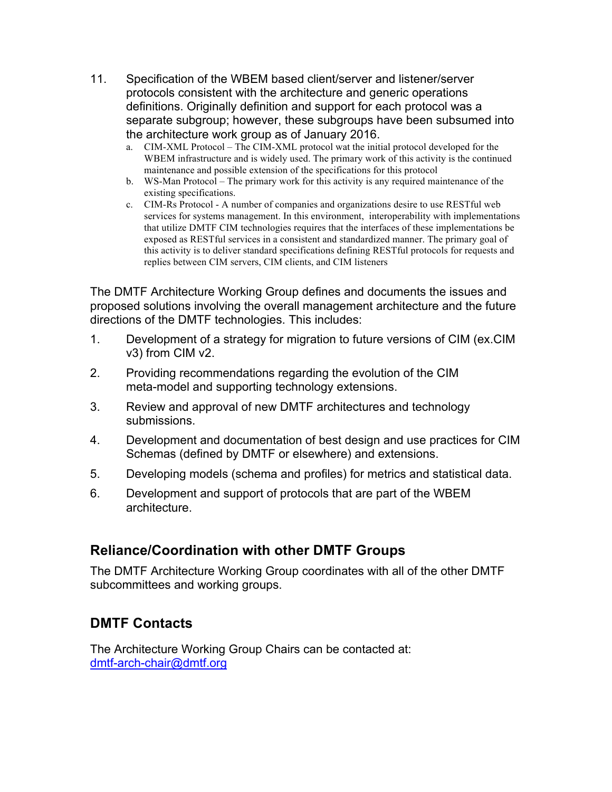- 11. Specification of the WBEM based client/server and listener/server protocols consistent with the architecture and generic operations definitions. Originally definition and support for each protocol was a separate subgroup; however, these subgroups have been subsumed into the architecture work group as of January 2016.
	- a. CIM-XML Protocol The CIM-XML protocol wat the initial protocol developed for the WBEM infrastructure and is widely used. The primary work of this activity is the continued maintenance and possible extension of the specifications for this protocol
	- b. WS-Man Protocol The primary work for this activity is any required maintenance of the existing specifications.
	- c. CIM-Rs Protocol A number of companies and organizations desire to use RESTful web services for systems management. In this environment, interoperability with implementations that utilize DMTF CIM technologies requires that the interfaces of these implementations be exposed as RESTful services in a consistent and standardized manner. The primary goal of this activity is to deliver standard specifications defining RESTful protocols for requests and replies between CIM servers, CIM clients, and CIM listeners

The DMTF Architecture Working Group defines and documents the issues and proposed solutions involving the overall management architecture and the future directions of the DMTF technologies. This includes:

- 1. Development of a strategy for migration to future versions of CIM (ex.CIM v3) from CIM v2.
- 2. Providing recommendations regarding the evolution of the CIM meta-model and supporting technology extensions.
- 3. Review and approval of new DMTF architectures and technology submissions.
- 4. Development and documentation of best design and use practices for CIM Schemas (defined by DMTF or elsewhere) and extensions.
- 5. Developing models (schema and profiles) for metrics and statistical data.
- 6. Development and support of protocols that are part of the WBEM architecture.

### **Reliance/Coordination with other DMTF Groups**

The DMTF Architecture Working Group coordinates with all of the other DMTF subcommittees and working groups.

## **DMTF Contacts**

The Architecture Working Group Chairs can be contacted at: dmtf-arch-chair@dmtf.org